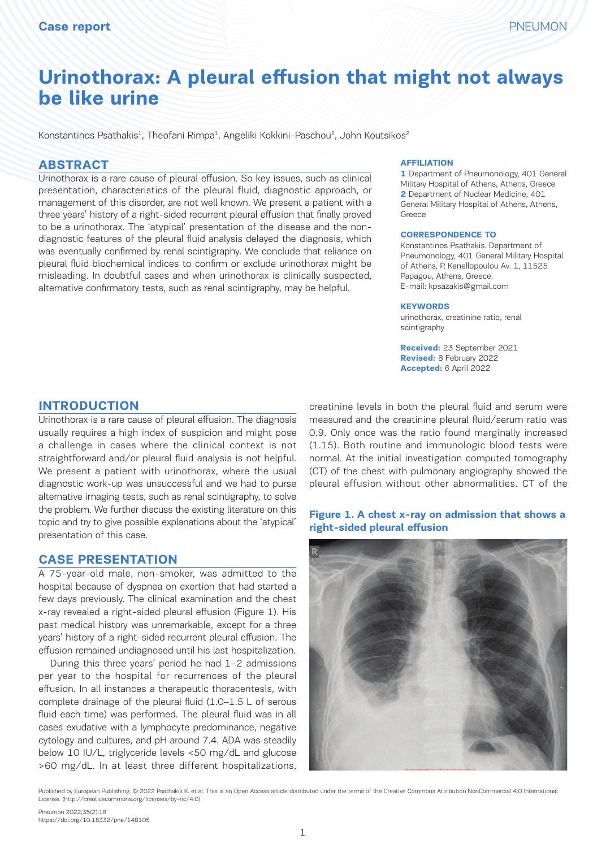# **Urinothorax: A pleural effusion that might not always be like urine**

Konstantinos Psathakis<sup>1</sup>, Theofani Rimpa<sup>1</sup>, Angeliki Kokkini-Paschou<sup>2</sup>, John Koutsikos<sup>2</sup>

# **ABSTRACT**

Urinothorax is a rare cause of pleural effusion. So key issues, such as clinical presentation, characteristics of the pleural fluid, diagnostic approach, or management of this disorder, are not well known. We present a patient with a three years' history of a right-sided recurrent pleural effusion that finally proved to be a urinothorax. The 'atypical' presentation of the disease and the nondiagnostic features of the pleural fluid analysis delayed the diagnosis, which was eventually confirmed by renal scintigraphy. We conclude that reliance on pleural fluid biochemical indices to confirm or exclude urinothorax might be misleading. In doubtful cases and when urinothorax is clinically suspected, alternative confirmatory tests, such as renal scintigraphy, may be helpful.

#### **AFFILIATION**

**1** Department of Pneumonology, 401 General Military Hospital of Athens, Athens, Greece **2** Department of Nuclear Medicine, 401 General Military Hospital of Athens, Athens, Greece

#### **CORRESPONDENCE TO**

Konstantinos Psathakis. Department of Pneumonology, 401 General Military Hospital of Athens, P. Kanellopoulou Av. 1, 11525 Papagou, Athens, Greece. E-mail: kpsazakis@gmail.com

#### **KEYWORDS**

urinothorax, creatinine ratio, renal scintigraphy

**Received:** 23 September 2021 **Revised:** 8 February 2022 **Accepted:** 6 April 2022

# **INTRODUCTION**

Urinothorax is a rare cause of pleural effusion. The diagnosis usually requires a high index of suspicion and might pose a challenge in cases where the clinical context is not straightforward and/or pleural fluid analysis is not helpful. We present a patient with urinothorax, where the usual diagnostic work-up was unsuccessful and we had to purse alternative imaging tests, such as renal scintigraphy, to solve the problem. We further discuss the existing literature on this topic and try to give possible explanations about the 'atypical' presentation of this case.

## **CASE PRESENTATION**

A 75-year-old male, non-smoker, was admitted to the hospital because of dyspnea on exertion that had started a few days previously. The clinical examination and the chest x-ray revealed a right-sided pleural effusion (Figure 1). His past medical history was unremarkable, except for a three years' history of a right-sided recurrent pleural effusion. The effusion remained undiagnosed until his last hospitalization.

During this three years' period he had 1–2 admissions per year to the hospital for recurrences of the pleural effusion. In all instances a therapeutic thoracentesis, with complete drainage of the pleural fluid (1.0–1.5 L of serous fluid each time) was performed. The pleural fluid was in all cases exudative with a lymphocyte predominance, negative cytology and cultures, and pH around 7.4. ADA was steadily below 10 IU/L, triglyceride levels <50 mg/dL and glucose >60 mg/dL. In at least three different hospitalizations,

creatinine levels in both the pleural fluid and serum were measured and the creatinine pleural fluid/serum ratio was 0.9. Only once was the ratio found marginally increased (1.15). Both routine and immunologic blood tests were normal. At the initial investigation computed tomography he usual (CT) of the chest with pulmonary angiography showed the shows a right-sided pleural effusion of the sided pleural effects. pleural effusion without other abnormalities. CT of the

#### **Figure 1. A chest x-ray on admission that shows a right-sided pleural effusion**



Published by European Publishing. © 2022 Psathakis K. et al. This is an Open Access article distributed under the terms of the Creative Commons Attribution NonCommercial 4.0 International License. (http://creativecommons.org/licenses/by-nc/4.0)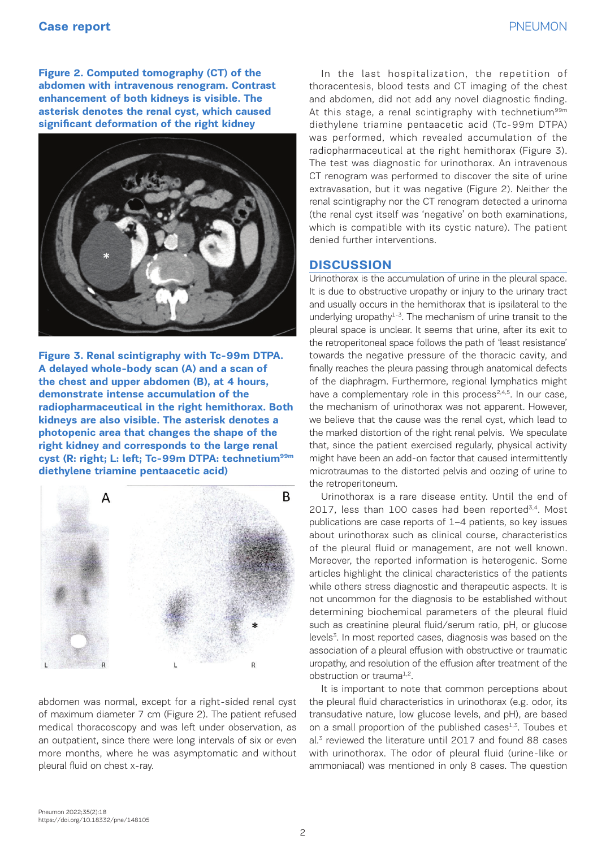**Figure 2. Computed tomography (CT) of the** *ln* the **abdomen with intravenous renogram. Contrast**  *significant deformation of the right kidney* **enhancement of both kidneys is visible. The asterisk denotes the renal cyst, which caused significant deformation of the right kidney** 



**the chest and upper abdomen (B), at 4 hours,** starring of the scan of **th demonstrate intense accumulation of the have** have **radiopharmaceutical in the right hemithorax. Both** be a *a photopenic area that changes the shape of the right kidney and corresponds to the large renal*  **kidneys are also visible. The asterisk denotes a photopenic area that changes the shape of the Figure 3. Renal scintigraphy with Tc-99m DTPA. A delayed whole-body scan (A) and a scan of right kidney and corresponds to the large renal cyst (R: right; L: left; Tc-99m DTPA: technetium99m diethylene triamine pentaacetic acid)** 



abdomen was normal, except for a right-sided renal cyst of maximum diameter 7 cm (Figure 2). The patient refused medical thoracoscopy and was left under observation, as an outpatient, since there were long intervals of six or even more months, where he was asymptomatic and without pleural fluid on chest x-ray.

In the last hospitalization, the repetition of thoracentesis, blood tests and CT imaging of the chest and abdomen, did not add any novel diagnostic finding. At this stage, a renal scintigraphy with technetium<sup>99m</sup> diethylene triamine pentaacetic acid (Tc-99m DTPA) was performed, which revealed accumulation of the radiopharmaceutical at the right hemithorax (Figure 3). The test was diagnostic for urinothorax. An intravenous CT renogram was performed to discover the site of urine extravasation, but it was negative (Figure 2). Neither the renal scintigraphy nor the CT renogram detected a urinoma (the renal cyst itself was 'negative' on both examinations, which is compatible with its cystic nature). The patient denied further interventions.

# **DISCUSSION**

Urinothorax is the accumulation of urine in the pleural space. It is due to obstructive uropathy or injury to the urinary tract and usually occurs in the hemithorax that is ipsilateral to the underlying uropathy $1-3$ . The mechanism of urine transit to the pleural space is unclear. It seems that urine, after its exit to the retroperitoneal space follows the path of 'least resistance' towards the negative pressure of the thoracic cavity, and finally reaches the pleura passing through anatomical defects of the diaphragm. Furthermore, regional lymphatics might have a complementary role in this process $2,4,5$ . In our case, the mechanism of urinothorax was not apparent. However, we believe that the cause was the renal cyst, which lead to the marked distortion of the right renal pelvis. We speculate that, since the patient exercised regularly, physical activity might have been an add-on factor that caused intermittently microtraumas to the distorted pelvis and oozing of urine to the retroperitoneum.

Urinothorax is a rare disease entity. Until the end of 2017, less than 100 cases had been reported<sup>3,4</sup>. Most publications are case reports of 1–4 patients, so key issues about urinothorax such as clinical course, characteristics of the pleural fluid or management, are not well known. Moreover, the reported information is heterogenic. Some articles highlight the clinical characteristics of the patients while others stress diagnostic and therapeutic aspects. It is not uncommon for the diagnosis to be established without determining biochemical parameters of the pleural fluid such as creatinine pleural fluid/serum ratio, pH, or glucose levels<sup>3</sup>. In most reported cases, diagnosis was based on the association of a pleural effusion with obstructive or traumatic uropathy, and resolution of the effusion after treatment of the obstruction or trauma<sup>1,2</sup>.

It is important to note that common perceptions about the pleural fluid characteristics in urinothorax (e.g. odor, its transudative nature, low glucose levels, and pH), are based on a small proportion of the published cases<sup>1,3</sup>. Toubes et al.3 reviewed the literature until 2017 and found 88 cases with urinothorax. The odor of pleural fluid (urine-like or ammoniacal) was mentioned in only 8 cases. The question